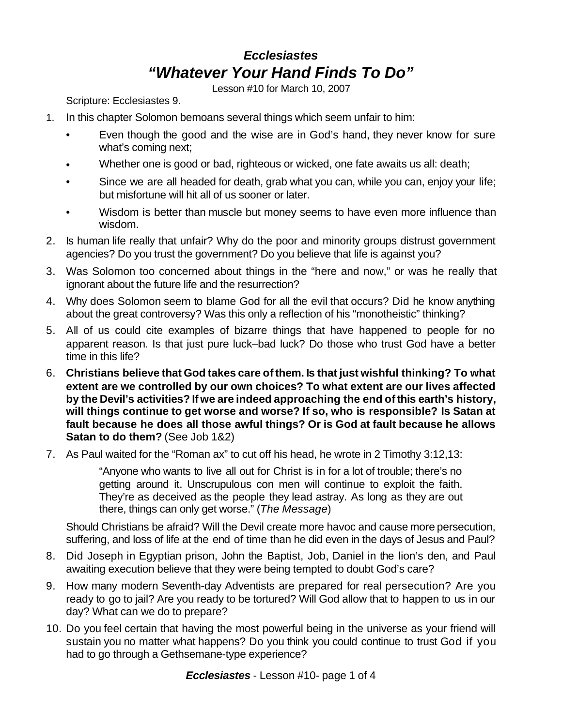## *Ecclesiastes "Whatever Your Hand Finds To Do"*

Lesson #10 for March 10, 2007

Scripture: Ecclesiastes 9.

- 1. In this chapter Solomon bemoans several things which seem unfair to him:
	- Even though the good and the wise are in God's hand, they never know for sure what's coming next;
	- Whether one is good or bad, righteous or wicked, one fate awaits us all: death;
	- Since we are all headed for death, grab what you can, while you can, enjoy your life; but misfortune will hit all of us sooner or later.
	- Wisdom is better than muscle but money seems to have even more influence than wisdom.
- 2. Is human life really that unfair? Why do the poor and minority groups distrust government agencies? Do you trust the government? Do you believe that life is against you?
- 3. Was Solomon too concerned about things in the "here and now," or was he really that ignorant about the future life and the resurrection?
- 4. Why does Solomon seem to blame God for all the evil that occurs? Did he know anything about the great controversy? Was this only a reflection of his "monotheistic" thinking?
- 5. All of us could cite examples of bizarre things that have happened to people for no apparent reason. Is that just pure luck–bad luck? Do those who trust God have a better time in this life?
- 6. **Christians believe that God takes care ofthem. Is that just wishful thinking? To what extent are we controlled by our own choices? To what extent are our lives affected by the Devil's activities? If we are indeed approaching the end ofthis earth's history, will things continue to get worse and worse? If so, who is responsible? Is Satan at fault because he does all those awful things? Or is God at fault because he allows Satan to do them?** (See Job 1&2)
- 7. As Paul waited for the "Roman ax" to cut off his head, he wrote in 2 Timothy 3:12,13:

"Anyone who wants to live all out for Christ is in for a lot of trouble; there's no getting around it. Unscrupulous con men will continue to exploit the faith. They're as deceived as the people they lead astray. As long as they are out there, things can only get worse." (*The Message*)

Should Christians be afraid? Will the Devil create more havoc and cause more persecution, suffering, and loss of life at the end of time than he did even in the days of Jesus and Paul?

- 8. Did Joseph in Egyptian prison, John the Baptist, Job, Daniel in the lion's den, and Paul awaiting execution believe that they were being tempted to doubt God's care?
- 9. How many modern Seventh-day Adventists are prepared for real persecution? Are you ready to go to jail? Are you ready to be tortured? Will God allow that to happen to us in our day? What can we do to prepare?
- 10. Do you feel certain that having the most powerful being in the universe as your friend will sustain you no matter what happens? Do you think you could continue to trust God if you had to go through a Gethsemane-type experience?

*Ecclesiastes* - Lesson #10- page 1 of 4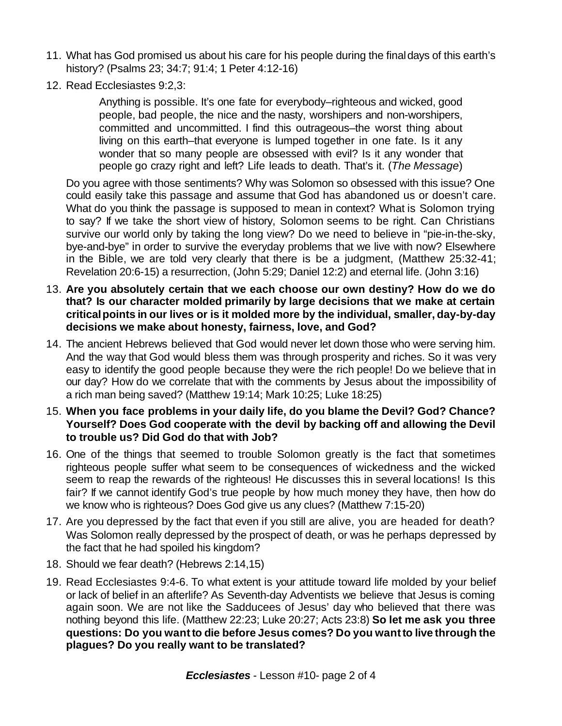- 11. What has God promised us about his care for his people during the finaldays of this earth's history? (Psalms 23; 34:7; 91:4; 1 Peter 4:12-16)
- 12. Read Ecclesiastes 9:2,3:

Anything is possible. It's one fate for everybody–righteous and wicked, good people, bad people, the nice and the nasty, worshipers and non-worshipers, committed and uncommitted. I find this outrageous–the worst thing about living on this earth–that everyone is lumped together in one fate. Is it any wonder that so many people are obsessed with evil? Is it any wonder that people go crazy right and left? Life leads to death. That's it. (*The Message*)

Do you agree with those sentiments? Why was Solomon so obsessed with this issue? One could easily take this passage and assume that God has abandoned us or doesn't care. What do you think the passage is supposed to mean in context? What is Solomon trying to say? If we take the short view of history, Solomon seems to be right. Can Christians survive our world only by taking the long view? Do we need to believe in "pie-in-the-sky, bye-and-bye" in order to survive the everyday problems that we live with now? Elsewhere in the Bible, we are told very clearly that there is be a judgment, (Matthew 25:32-41; Revelation 20:6-15) a resurrection, (John 5:29; Daniel 12:2) and eternal life. (John 3:16)

- 13. **Are you absolutely certain that we each choose our own destiny? How do we do that? Is our character molded primarily by large decisions that we make at certain criticalpoints in our lives or is it molded more by the individual, smaller, day-by-day decisions we make about honesty, fairness, love, and God?**
- 14. The ancient Hebrews believed that God would never let down those who were serving him. And the way that God would bless them was through prosperity and riches. So it was very easy to identify the good people because they were the rich people! Do we believe that in our day? How do we correlate that with the comments by Jesus about the impossibility of a rich man being saved? (Matthew 19:14; Mark 10:25; Luke 18:25)
- 15. **When you face problems in your daily life, do you blame the Devil? God? Chance? Yourself? Does God cooperate with the devil by backing off and allowing the Devil to trouble us? Did God do that with Job?**
- 16. One of the things that seemed to trouble Solomon greatly is the fact that sometimes righteous people suffer what seem to be consequences of wickedness and the wicked seem to reap the rewards of the righteous! He discusses this in several locations! Is this fair? If we cannot identify God's true people by how much money they have, then how do we know who is righteous? Does God give us any clues? (Matthew 7:15-20)
- 17. Are you depressed by the fact that even if you still are alive, you are headed for death? Was Solomon really depressed by the prospect of death, or was he perhaps depressed by the fact that he had spoiled his kingdom?
- 18. Should we fear death? (Hebrews 2:14,15)
- 19. Read Ecclesiastes 9:4-6. To what extent is your attitude toward life molded by your belief or lack of belief in an afterlife? As Seventh-day Adventists we believe that Jesus is coming again soon. We are not like the Sadducees of Jesus' day who believed that there was nothing beyond this life. (Matthew 22:23; Luke 20:27; Acts 23:8) **So let me ask you three questions: Do you wantto die before Jesus comes? Do you wantto live through the plagues? Do you really want to be translated?**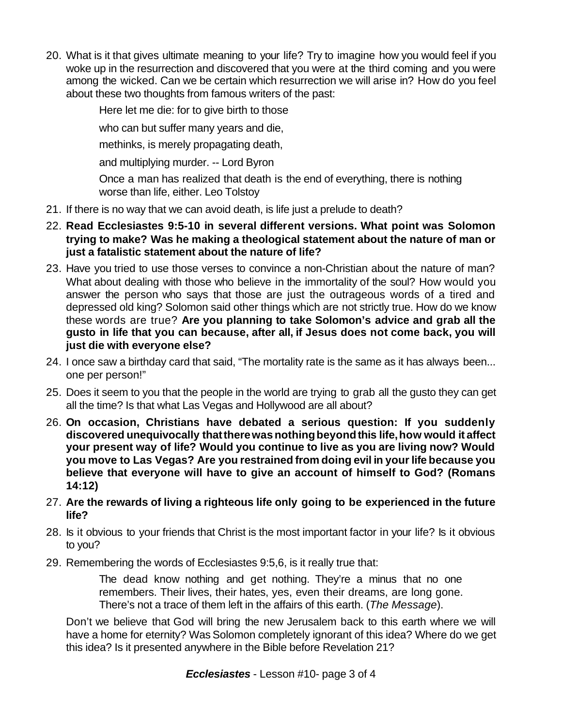20. What is it that gives ultimate meaning to your life? Try to imagine how you would feel if you woke up in the resurrection and discovered that you were at the third coming and you were among the wicked. Can we be certain which resurrection we will arise in? How do you feel about these two thoughts from famous writers of the past:

Here let me die: for to give birth to those

who can but suffer many years and die,

methinks, is merely propagating death,

and multiplying murder. -- Lord Byron

Once a man has realized that death is the end of everything, there is nothing worse than life, either. Leo Tolstoy

- 21. If there is no way that we can avoid death, is life just a prelude to death?
- 22. **Read Ecclesiastes 9:5-10 in several different versions. What point was Solomon trying to make? Was he making a theological statement about the nature of man or just a fatalistic statement about the nature of life?**
- 23. Have you tried to use those verses to convince a non-Christian about the nature of man? What about dealing with those who believe in the immortality of the soul? How would you answer the person who says that those are just the outrageous words of a tired and depressed old king? Solomon said other things which are not strictly true. How do we know these words are true? **Are you planning to take Solomon's advice and grab all the gusto in life that you can because, after all, if Jesus does not come back, you will just die with everyone else?**
- 24. I once saw a birthday card that said, "The mortality rate is the same as it has always been... one per person!"
- 25. Does it seem to you that the people in the world are trying to grab all the gusto they can get all the time? Is that what Las Vegas and Hollywood are all about?
- 26. **On occasion, Christians have debated a serious question: If you suddenly discovered unequivocally thattherewasnothingbeyondthis life,how would it affect your present way of life? Would you continue to live as you are living now? Would you move to Las Vegas? Are you restrained from doing evil in yourlife because you believe that everyone will have to give an account of himself to God? (Romans 14:12)**
- 27. **Are the rewards of living a righteous life only going to be experienced in the future life?**
- 28. Is it obvious to your friends that Christ is the most important factor in your life? Is it obvious to you?
- 29. Remembering the words of Ecclesiastes 9:5,6, is it really true that:

The dead know nothing and get nothing. They're a minus that no one remembers. Their lives, their hates, yes, even their dreams, are long gone. There's not a trace of them left in the affairs of this earth. (*The Message*).

Don't we believe that God will bring the new Jerusalem back to this earth where we will have a home for eternity? Was Solomon completely ignorant of this idea? Where do we get this idea? Is it presented anywhere in the Bible before Revelation 21?

*Ecclesiastes* - Lesson #10- page 3 of 4